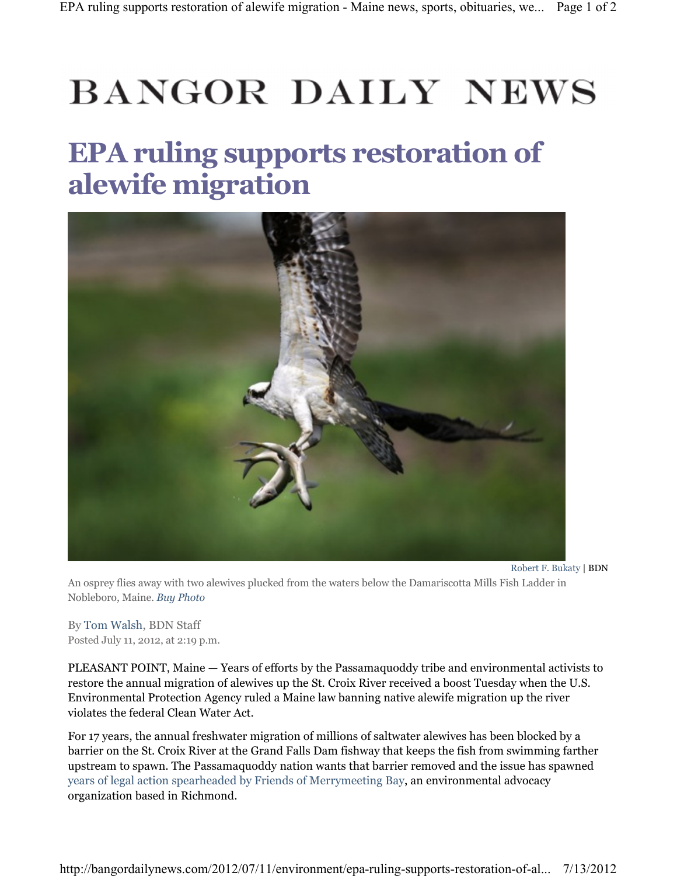## **BANGOR DAILY NEWS**

## EPA ruling supports restoration of alewife migration



An osprey flies away with two alewives plucked from the waters below the Damariscotta Mills Fish Ladder in Nobleboro, Maine. Buy Photo

By Tom Walsh, BDN Staff Posted July 11, 2012, at 2:19 p.m.

PLEASANT POINT, Maine — Years of efforts by the Passamaquoddy tribe and environmental activists to restore the annual migration of alewives up the St. Croix River received a boost Tuesday when the U.S. Environmental Protection Agency ruled a Maine law banning native alewife migration up the river violates the federal Clean Water Act.

For 17 years, the annual freshwater migration of millions of saltwater alewives has been blocked by a barrier on the St. Croix River at the Grand Falls Dam fishway that keeps the fish from swimming farther upstream to spawn. The Passamaquoddy nation wants that barrier removed and the issue has spawned years of legal action spearheaded by Friends of Merrymeeting Bay, an environmental advocacy organization based in Richmond.